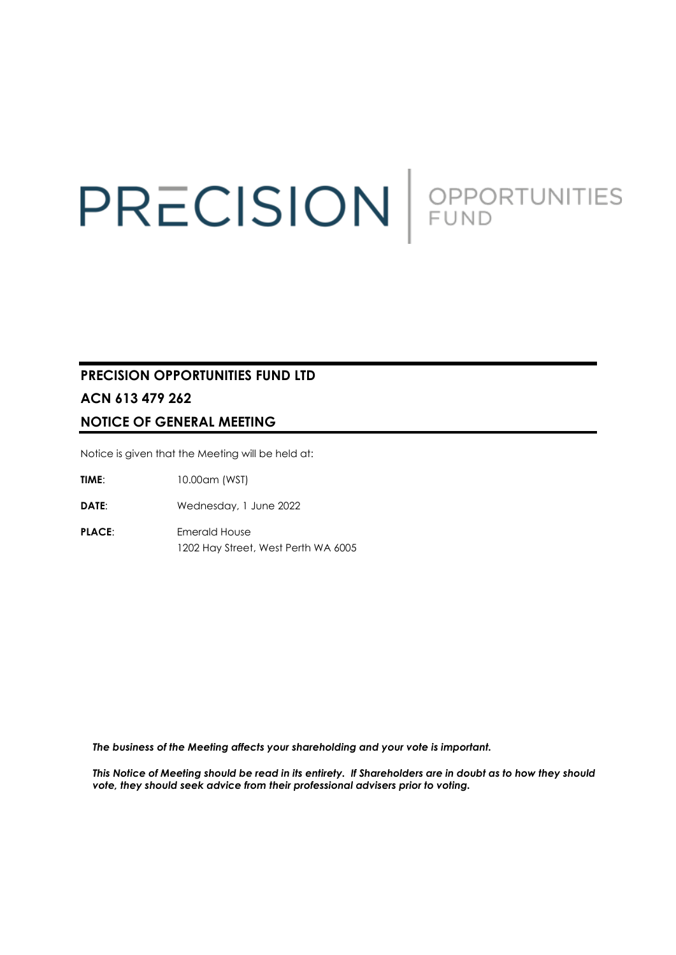# PRECISION SPPORTUNITIES

## **PRECISION OPPORTUNITIES FUND LTD**

# **ACN 613 479 262 NOTICE OF GENERAL MEETING**

Notice is given that the Meeting will be held at:

**TIME**: 10.00am (WST)

**DATE:** Wednesday, 1 June 2022

**PLACE:** Emerald House 1202 Hay Street, West Perth WA 6005

*The business of the Meeting affects your shareholding and your vote is important.*

*This Notice of Meeting should be read in its entirety. If Shareholders are in doubt as to how they should vote, they should seek advice from their professional advisers prior to voting.*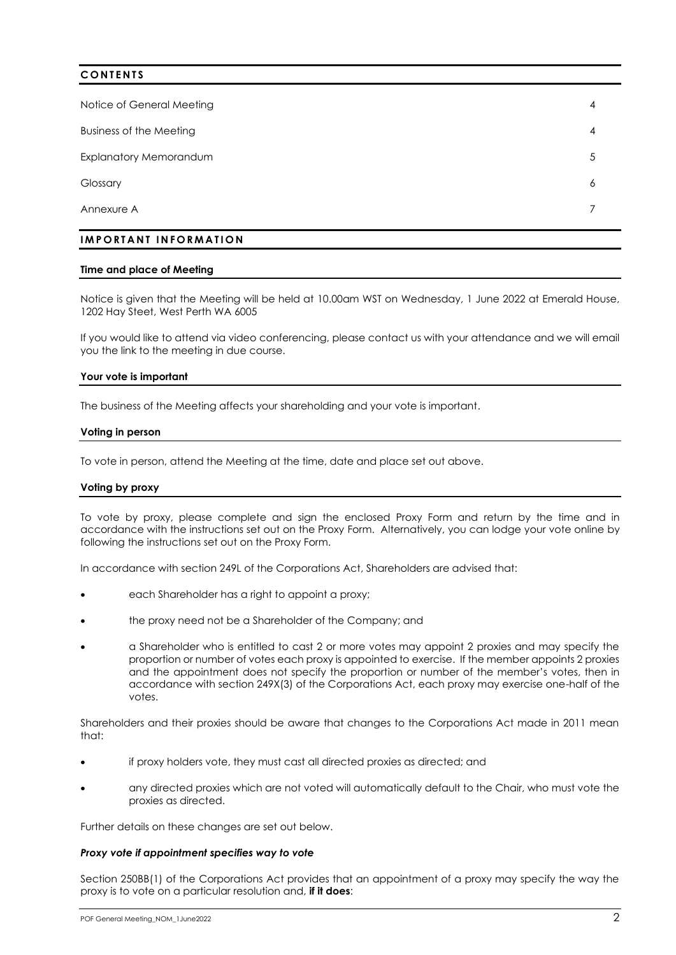#### **C O N T E N T S**

| Notice of General Meeting      | 4 |
|--------------------------------|---|
| <b>Business of the Meeting</b> | 4 |
| <b>Explanatory Memorandum</b>  | 5 |
| Glossary                       | 6 |
| Annexure A                     |   |
|                                |   |

## **IMPORTANT INFORMATION**

#### **Time and place of Meeting**

Notice is given that the Meeting will be held at 10.00am WST on Wednesday, 1 June 2022 at Emerald House, 1202 Hay Steet, West Perth WA 6005

If you would like to attend via video conferencing, please contact us with your attendance and we will email you the link to the meeting in due course.

#### **Your vote is important**

The business of the Meeting affects your shareholding and your vote is important.

#### **Voting in person**

To vote in person, attend the Meeting at the time, date and place set out above.

#### **Voting by proxy**

To vote by proxy, please complete and sign the enclosed Proxy Form and return by the time and in accordance with the instructions set out on the Proxy Form. Alternatively, you can lodge your vote online by following the instructions set out on the Proxy Form.

In accordance with section 249L of the Corporations Act, Shareholders are advised that:

- each Shareholder has a right to appoint a proxy;
- the proxy need not be a Shareholder of the Company; and
- a Shareholder who is entitled to cast 2 or more votes may appoint 2 proxies and may specify the proportion or number of votes each proxy is appointed to exercise. If the member appoints 2 proxies and the appointment does not specify the proportion or number of the member's votes, then in accordance with section 249X(3) of the Corporations Act, each proxy may exercise one-half of the votes.

Shareholders and their proxies should be aware that changes to the Corporations Act made in 2011 mean that:

- if proxy holders vote, they must cast all directed proxies as directed; and
- any directed proxies which are not voted will automatically default to the Chair, who must vote the proxies as directed.

Further details on these changes are set out below.

#### *Proxy vote if appointment specifies way to vote*

Section 250BB(1) of the Corporations Act provides that an appointment of a proxy may specify the way the proxy is to vote on a particular resolution and, **if it does**: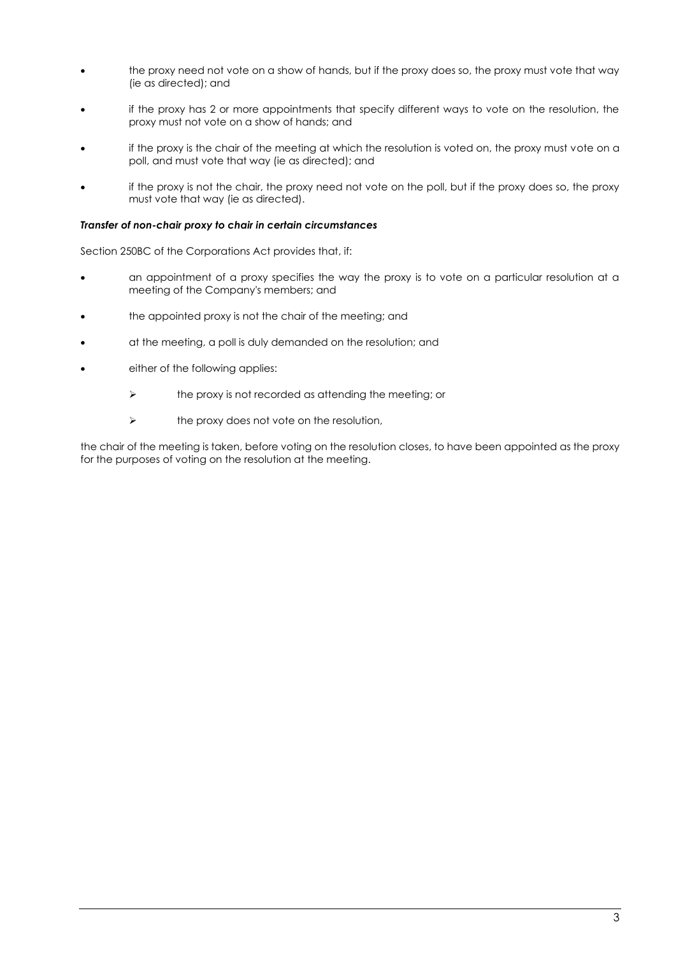- the proxy need not vote on a show of hands, but if the proxy does so, the proxy must vote that way (ie as directed); and
- if the proxy has 2 or more appointments that specify different ways to vote on the resolution, the proxy must not vote on a show of hands; and
- if the proxy is the chair of the meeting at which the resolution is voted on, the proxy must vote on a poll, and must vote that way (ie as directed); and
- if the proxy is not the chair, the proxy need not vote on the poll, but if the proxy does so, the proxy must vote that way (ie as directed).

#### *Transfer of non-chair proxy to chair in certain circumstances*

Section 250BC of the Corporations Act provides that, if:

- an appointment of a proxy specifies the way the proxy is to vote on a particular resolution at a meeting of the Company's members; and
- the appointed proxy is not the chair of the meeting; and
- at the meeting, a poll is duly demanded on the resolution; and
- either of the following applies:
	- ➢ the proxy is not recorded as attending the meeting; or
	- $\triangleright$  the proxy does not vote on the resolution,

the chair of the meeting is taken, before voting on the resolution closes, to have been appointed as the proxy for the purposes of voting on the resolution at the meeting.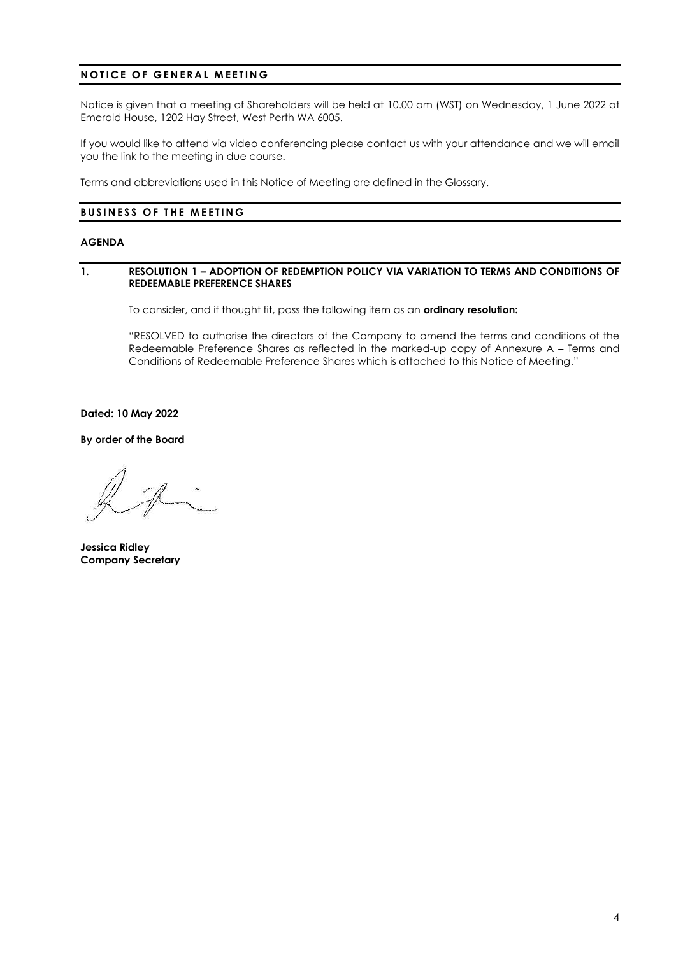## **NOTICE OF GENERAL MEETING**

Notice is given that a meeting of Shareholders will be held at 10.00 am (WST) on Wednesday, 1 June 2022 at Emerald House, 1202 Hay Street, West Perth WA 6005.

If you would like to attend via video conferencing please contact us with your attendance and we will email you the link to the meeting in due course.

Terms and abbreviations used in this Notice of Meeting are defined in the Glossary.

#### **BUSINESS OF THE MEETING**

#### **AGENDA**

#### **1. RESOLUTION 1 – ADOPTION OF REDEMPTION POLICY VIA VARIATION TO TERMS AND CONDITIONS OF REDEEMABLE PREFERENCE SHARES**

To consider, and if thought fit, pass the following item as an **ordinary resolution:**

"RESOLVED to authorise the directors of the Company to amend the terms and conditions of the Redeemable Preference Shares as reflected in the marked-up copy of Annexure A – Terms and Conditions of Redeemable Preference Shares which is attached to this Notice of Meeting."

**Dated: 10 May 2022**

**By order of the Board**

**Jessica Ridley Company Secretary**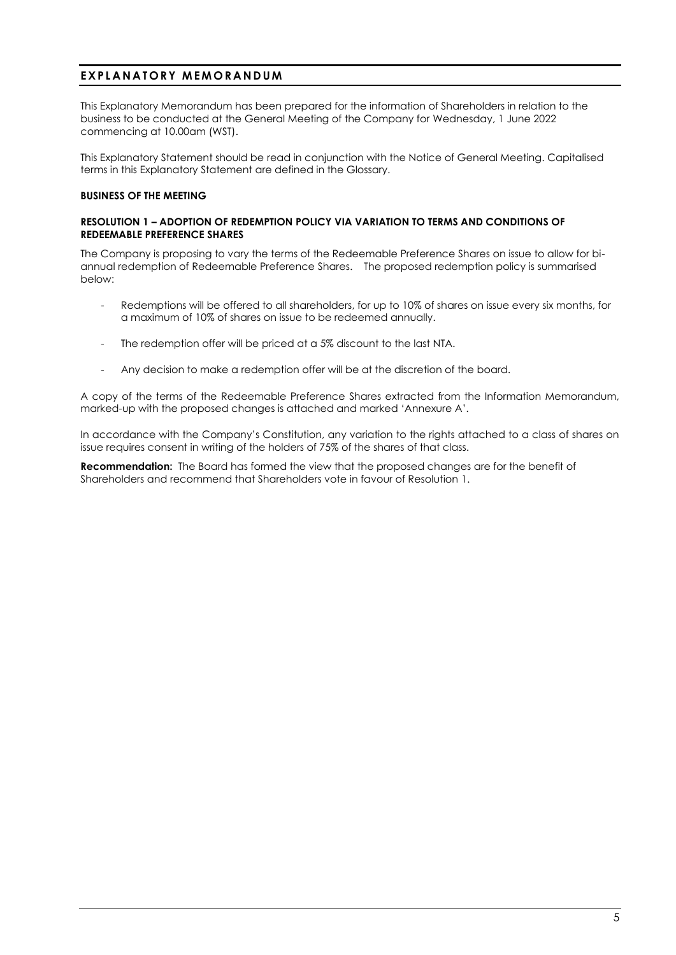## **E X P L A N A T O R Y M E M O R A N D U M**

This Explanatory Memorandum has been prepared for the information of Shareholders in relation to the business to be conducted at the General Meeting of the Company for Wednesday, 1 June 2022 commencing at 10.00am (WST).

This Explanatory Statement should be read in conjunction with the Notice of General Meeting. Capitalised terms in this Explanatory Statement are defined in the Glossary.

#### **BUSINESS OF THE MEETING**

#### **RESOLUTION 1 – ADOPTION OF REDEMPTION POLICY VIA VARIATION TO TERMS AND CONDITIONS OF REDEEMABLE PREFERENCE SHARES**

The Company is proposing to vary the terms of the Redeemable Preference Shares on issue to allow for biannual redemption of Redeemable Preference Shares. The proposed redemption policy is summarised below:

- Redemptions will be offered to all shareholders, for up to 10% of shares on issue every six months, for a maximum of 10% of shares on issue to be redeemed annually.
- The redemption offer will be priced at a 5% discount to the last NTA.
- Any decision to make a redemption offer will be at the discretion of the board.

A copy of the terms of the Redeemable Preference Shares extracted from the Information Memorandum, marked-up with the proposed changes is attached and marked 'Annexure A'.

In accordance with the Company's Constitution, any variation to the rights attached to a class of shares on issue requires consent in writing of the holders of 75% of the shares of that class.

**Recommendation:** The Board has formed the view that the proposed changes are for the benefit of Shareholders and recommend that Shareholders vote in favour of Resolution 1.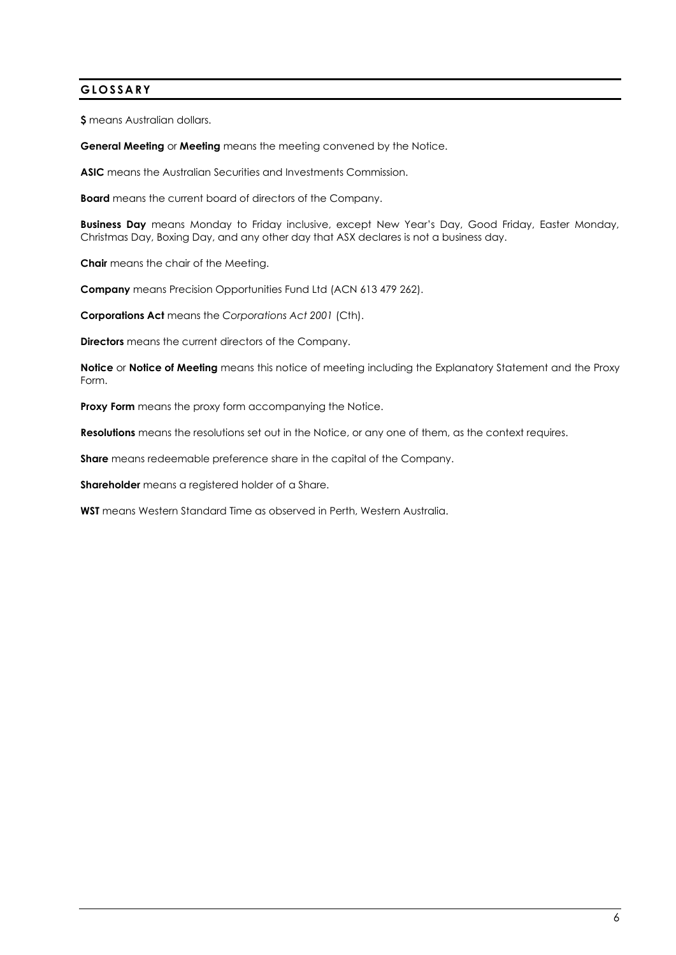## **G L O S S A R Y**

**\$** means Australian dollars.

**General Meeting** or **Meeting** means the meeting convened by the Notice.

**ASIC** means the Australian Securities and Investments Commission.

**Board** means the current board of directors of the Company.

**Business Day** means Monday to Friday inclusive, except New Year's Day, Good Friday, Easter Monday, Christmas Day, Boxing Day, and any other day that ASX declares is not a business day.

**Chair** means the chair of the Meeting.

**Company** means Precision Opportunities Fund Ltd (ACN 613 479 262).

**Corporations Act** means the *Corporations Act 2001* (Cth).

**Directors** means the current directors of the Company.

**Notice** or **Notice of Meeting** means this notice of meeting including the Explanatory Statement and the Proxy Form.

**Proxy Form** means the proxy form accompanying the Notice.

**Resolutions** means the resolutions set out in the Notice, or any one of them, as the context requires.

**Share** means redeemable preference share in the capital of the Company.

**Shareholder** means a registered holder of a Share.

**WST** means Western Standard Time as observed in Perth, Western Australia.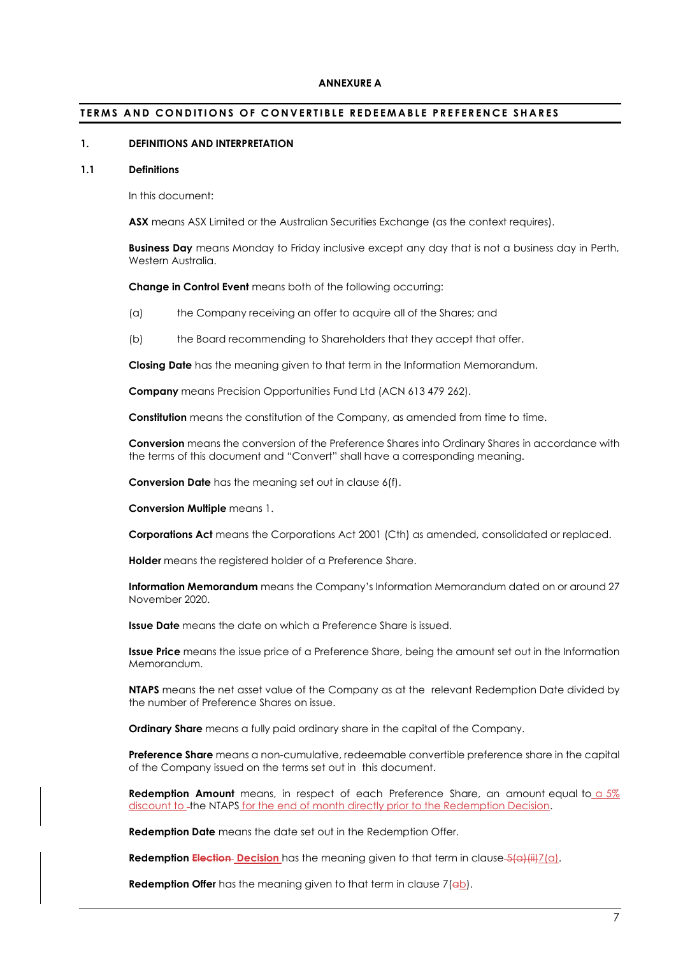#### **ANNEXURE A**

#### **TERMS AND CONDITIONS OF CONVERTIBLE REDEEMABLE PREFERENCE SHARES**

#### **1. DEFINITIONS AND INTERPRETATION**

#### **1.1 Definitions**

In this document:

**ASX** means ASX Limited or the Australian Securities Exchange (as the context requires).

**Business Day** means Monday to Friday inclusive except any day that is not a business day in Perth, Western Australia.

**Change in Control Event** means both of the following occurring:

- (a) the Company receiving an offer to acquire all of the Shares; and
- (b) the Board recommending to Shareholders that they accept that offer.

**Closing Date** has the meaning given to that term in the Information Memorandum.

**Company** means Precision Opportunities Fund Ltd (ACN 613 479 262).

**Constitution** means the constitution of the Company, as amended from time to time.

**Conversion** means the conversion of the Preference Shares into Ordinary Shares in accordance with the terms of this document and "Convert" shall have a corresponding meaning.

**Conversion Date** has the meaning set out in clause 6(f).

**Conversion Multiple** means 1.

**Corporations Act** means the Corporations Act 2001 (Cth) as amended, consolidated or replaced.

**Holder** means the registered holder of a Preference Share.

**Information Memorandum** means the Company's Information Memorandum dated on or around 27 November 2020.

**Issue Date** means the date on which a Preference Share is issued.

**Issue Price** means the issue price of a Preference Share, being the amount set out in the Information Memorandum.

**NTAPS** means the net asset value of the Company as at the relevant Redemption Date divided by the number of Preference Shares on issue.

**Ordinary Share** means a fully paid ordinary share in the capital of the Company.

**Preference Share** means a non-cumulative, redeemable convertible preference share in the capital of the Company issued on the terms set out in this document.

**Redemption Amount** means, in respect of each Preference Share, an amount equal to a 5% discount to the NTAPS for the end of month directly prior to the Redemption Decision.

**Redemption Date** means the date set out in the Redemption Offer.

**Redemption Election Decision** has the meaning given to that term in clause 5(a)(ii)7(a).

**Redemption Offer** has the meaning given to that term in clause 7(ab).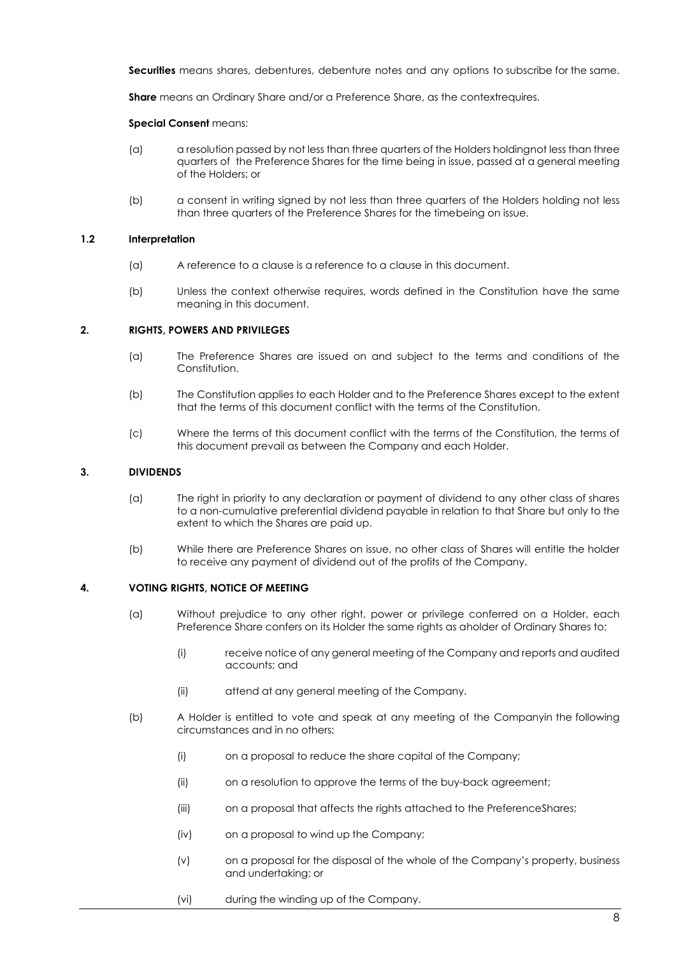**Securities** means shares, debentures, debenture notes and any options to subscribe for the same.

**Share** means an Ordinary Share and/or a Preference Share, as the contextrequires.

#### **Special Consent** means:

- (a) a resolution passed by not less than three quarters of the Holders holdingnot less than three quarters of the Preference Shares for the time being in issue, passed at a general meeting of the Holders; or
- (b) a consent in writing signed by not less than three quarters of the Holders holding not less than three quarters of the Preference Shares for the timebeing on issue.

#### **1.2 Interpretation**

- (a) A reference to a clause is a reference to a clause in this document.
- (b) Unless the context otherwise requires, words defined in the Constitution have the same meaning in this document.

#### **2. RIGHTS, POWERS AND PRIVILEGES**

- (a) The Preference Shares are issued on and subject to the terms and conditions of the Constitution.
- (b) The Constitution applies to each Holder and to the Preference Shares except to the extent that the terms of this document conflict with the terms of the Constitution.
- (c) Where the terms of this document conflict with the terms of the Constitution, the terms of this document prevail as between the Company and each Holder.

#### **3. DIVIDENDS**

- (a) The right in priority to any declaration or payment of dividend to any other class of shares to a non-cumulative preferential dividend payable in relation to that Share but only to the extent to which the Shares are paid up.
- (b) While there are Preference Shares on issue, no other class of Shares will entitle the holder to receive any payment of dividend out of the profits of the Company.

#### **4. VOTING RIGHTS, NOTICE OF MEETING**

- (a) Without prejudice to any other right, power or privilege conferred on a Holder, each Preference Share confers on its Holder the same rights as aholder of Ordinary Shares to:
	- (i) receive notice of any general meeting of the Company and reports and audited accounts; and
	- (ii) attend at any general meeting of the Company.
- (b) A Holder is entitled to vote and speak at any meeting of the Companyin the following circumstances and in no others:
	- (i) on a proposal to reduce the share capital of the Company;
	- (ii) on a resolution to approve the terms of the buy-back agreement;
	- (iii) on a proposal that affects the rights attached to the PreferenceShares;
	- (iv) on a proposal to wind up the Company;
	- (v) on a proposal for the disposal of the whole of the Company's property, business and undertaking; or
	- (vi) during the winding up of the Company.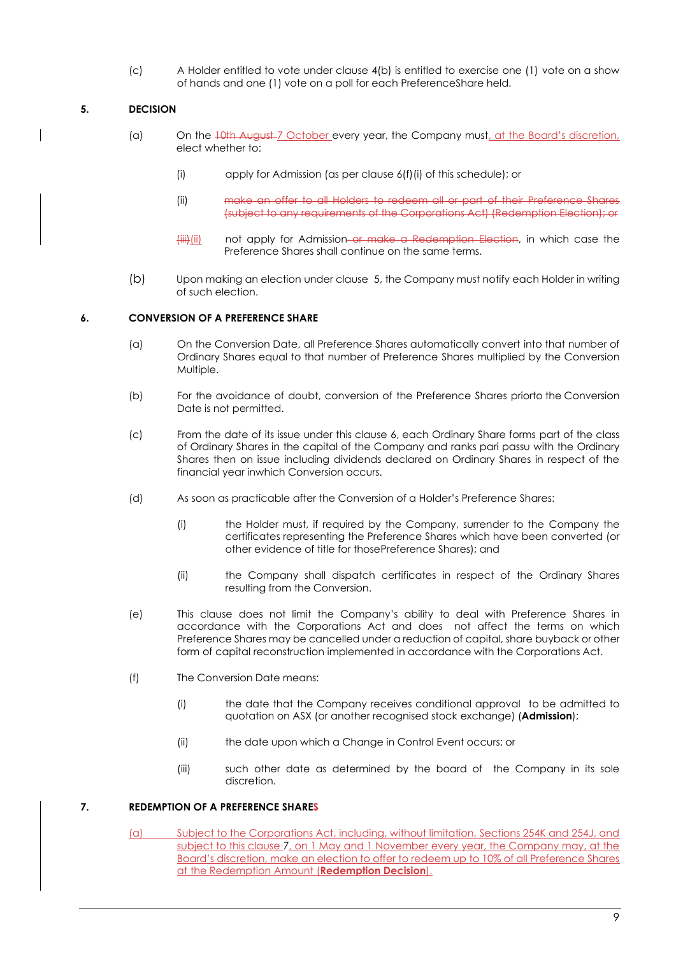(c) A Holder entitled to vote under clause 4(b) is entitled to exercise one (1) vote on a show of hands and one (1) vote on a poll for each PreferenceShare held.

## **5. DECISION**

- (a) On the <del>10th August 7</del> October every year, the Company must, at the Board's discretion, elect whether to:
	- (i) apply for Admission (as per clause 6(f)(i) of this schedule); or
	- (ii) make an offer to all Holders to redeem all or part of their Preference Shares (subject to any requirements of the Corporations Act) (Redemption Election); or
	- (iii) on apply for Admission or make a Redemption Election, in which case the Preference Shares shall continue on the same terms.
- (b) Upon making an election under clause 5, the Company must notify each Holder in writing of such election.

## **6. CONVERSION OF A PREFERENCE SHARE**

- (a) On the Conversion Date, all Preference Shares automatically convert into that number of Ordinary Shares equal to that number of Preference Shares multiplied by the Conversion Multiple.
- (b) For the avoidance of doubt, conversion of the Preference Shares priorto the Conversion Date is not permitted.
- (c) From the date of its issue under this clause 6, each Ordinary Share forms part of the class of Ordinary Shares in the capital of the Company and ranks pari passu with the Ordinary Shares then on issue including dividends declared on Ordinary Shares in respect of the financial year inwhich Conversion occurs.
- (d) As soon as practicable after the Conversion of a Holder's Preference Shares:
	- (i) the Holder must, if required by the Company, surrender to the Company the certificates representing the Preference Shares which have been converted (or other evidence of title for thosePreference Shares); and
	- (ii) the Company shall dispatch certificates in respect of the Ordinary Shares resulting from the Conversion.
- (e) This clause does not limit the Company's ability to deal with Preference Shares in accordance with the Corporations Act and does not affect the terms on which Preference Shares may be cancelled under a reduction of capital, share buyback or other form of capital reconstruction implemented in accordance with the Corporations Act.
- (f) The Conversion Date means:
	- (i) the date that the Company receives conditional approval to be admitted to quotation on ASX (or another recognised stock exchange) (**Admission**);
	- (ii) the date upon which a Change in Control Event occurs; or
	- (iii) such other date as determined by the board of the Company in its sole discretion.

## <span id="page-8-1"></span><span id="page-8-0"></span>**7. REDEMPTION OF A PREFERENCE SHARES**

(a) Subject to the Corporations Act, including, without limitation, Sections 254K and 254J, and subject to this clause [7,](#page-8-0) on 1 May and 1 November every year, the Company may, at the Board's discretion, make an election to offer to redeem up to 10% of all Preference Shares at the Redemption Amount (**Redemption Decision**).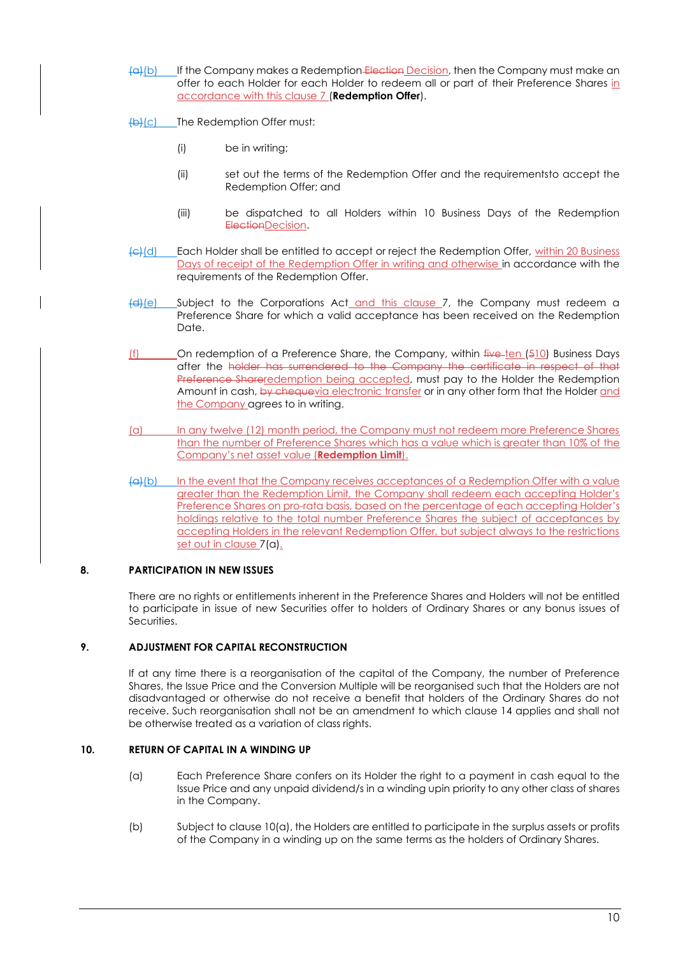- (a)(b) If the Company makes a Redemption Election Decision, then the Company must make an offer to each Holder for each Holder to redeem all or part of their Preference Shares in accordance with this clause 7 (**Redemption Offer**).
- $\bigoplus$  $\{c\}$  The Redemption Offer must:
	- (i) be in writing;
	- (ii) set out the terms of the Redemption Offer and the requirementsto accept the Redemption Offer; and
	- (iii) be dispatched to all Holders within 10 Business Days of the Redemption ElectionDecision.
- (c)(d) Each Holder shall be entitled to accept or reject the Redemption Offer, within 20 Business Days of receipt of the Redemption Offer in writing and otherwise in accordance with the requirements of the Redemption Offer.
- $\left\{\frac{d}{dt}\right\}$  Subject to the Corporations Act and this clause [7,](#page-8-0) the Company must redeem a Preference Share for which a valid acceptance has been received on the Redemption Date.
- (f) On redemption of a Preference Share, the Company, within five ten (510) Business Days after the holder has surrendered to the Company the certificate in respect of that Preference Shareredemption being accepted, must pay to the Holder the Redemption Amount in cash, by chequevia electronic transfer or in any other form that the Holder and the Company agrees to in writing.
- (a) In any twelve (12) month period, the Company must not redeem more Preference Shares than the number of Preference Shares which has a value which is greater than 10% of the Company's net asset value (**Redemption Limit**).
- (a)(b) In the event that the Company receives acceptances of a Redemption Offer with a value greater than the Redemption Limit, the Company shall redeem each accepting Holder's Preference Shares on pro-rata basis, based on the percentage of each accepting Holder's holdings relative to the total number Preference Shares the subject of acceptances by accepting Holders in the relevant Redemption Offer, but subject always to the restrictions set out in claus[e 7](#page-8-0)[\(a\).](#page-8-1)

#### **8. PARTICIPATION IN NEW ISSUES**

There are no rights or entitlements inherent in the Preference Shares and Holders will not be entitled to participate in issue of new Securities offer to holders of Ordinary Shares or any bonus issues of Securities.

#### **9. ADJUSTMENT FOR CAPITAL RECONSTRUCTION**

If at any time there is a reorganisation of the capital of the Company, the number of Preference Shares, the Issue Price and the Conversion Multiple will be reorganised such that the Holders are not disadvantaged or otherwise do not receive a benefit that holders of the Ordinary Shares do not receive. Such reorganisation shall not be an amendment to which clause 14 applies and shall not be otherwise treated as a variation of class rights.

#### **10. RETURN OF CAPITAL IN A WINDING UP**

- (a) Each Preference Share confers on its Holder the right to a payment in cash equal to the Issue Price and any unpaid dividend/s in a winding upin priority to any other class of shares in the Company.
- (b) Subject to clause 10(a), the Holders are entitled to participate in the surplus assets or profits of the Company in a winding up on the same terms as the holders of Ordinary Shares.